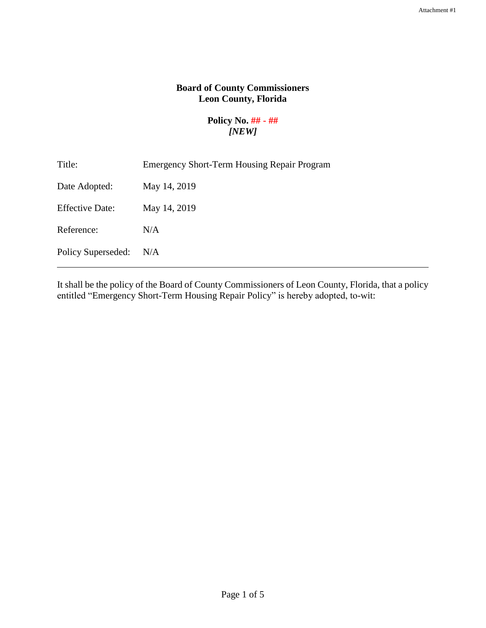# **Board of County Commissioners Leon County, Florida**

### **Policy No. ## - ##**  *[NEW]*

| Title:                 | <b>Emergency Short-Term Housing Repair Program</b> |
|------------------------|----------------------------------------------------|
| Date Adopted:          | May 14, 2019                                       |
| <b>Effective Date:</b> | May 14, 2019                                       |
| Reference:             | N/A                                                |
| Policy Superseded:     | N/A                                                |

It shall be the policy of the Board of County Commissioners of Leon County, Florida, that a policy entitled "Emergency Short-Term Housing Repair Policy" is hereby adopted, to-wit: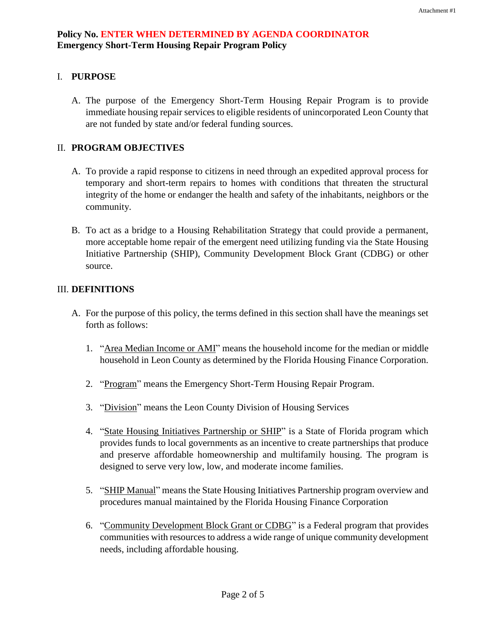# I. **PURPOSE**

A. The purpose of the Emergency Short-Term Housing Repair Program is to provide immediate housing repair services to eligible residents of unincorporated Leon County that are not funded by state and/or federal funding sources.

### II. **PROGRAM OBJECTIVES**

- A. To provide a rapid response to citizens in need through an expedited approval process for temporary and short-term repairs to homes with conditions that threaten the structural integrity of the home or endanger the health and safety of the inhabitants, neighbors or the community.
- B. To act as a bridge to a Housing Rehabilitation Strategy that could provide a permanent, more acceptable home repair of the emergent need utilizing funding via the State Housing Initiative Partnership (SHIP), Community Development Block Grant (CDBG) or other source.

#### III. **DEFINITIONS**

- A. For the purpose of this policy, the terms defined in this section shall have the meanings set forth as follows:
	- 1. "Area Median Income or AMI" means the household income for the median or middle household in Leon County as determined by the Florida Housing Finance Corporation.
	- 2. "Program" means the Emergency Short-Term Housing Repair Program.
	- 3. "Division" means the Leon County Division of Housing Services
	- 4. "State Housing Initiatives Partnership or SHIP" is a State of Florida program which provides funds to local governments as an incentive to create partnerships that produce and preserve affordable homeownership and multifamily housing. The program is designed to serve very low, low, and moderate income families.
	- 5. "SHIP Manual" means the State Housing Initiatives Partnership program overview and procedures manual maintained by the Florida Housing Finance Corporation
	- 6. "Community Development Block Grant or CDBG" is a Federal program that provides communities with resources to address a wide range of unique community development needs, including affordable housing.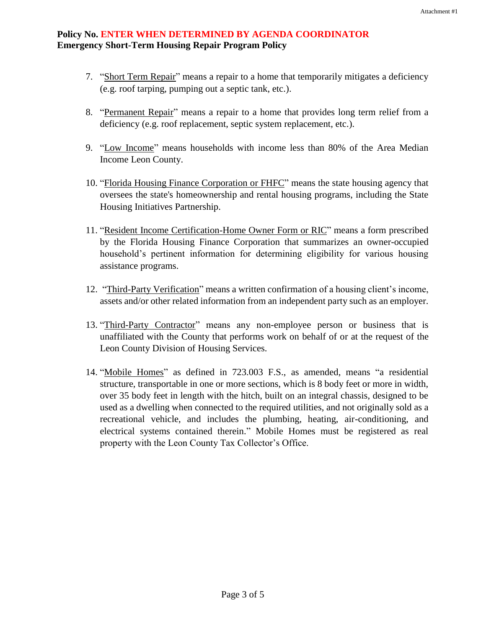### **Policy No. ENTER WHEN DETERMINED BY AGENDA COORDINATOR Emergency Short-Term Housing Repair Program Policy**

- 7. "Short Term Repair" means a repair to a home that temporarily mitigates a deficiency (e.g. roof tarping, pumping out a septic tank, etc.).
- 8. "Permanent Repair" means a repair to a home that provides long term relief from a deficiency (e.g. roof replacement, septic system replacement, etc.).
- 9. "Low Income" means households with income less than 80% of the Area Median Income Leon County.
- 10. "Florida Housing Finance Corporation or FHFC" means the state housing agency that oversees the state's homeownership and rental housing programs, including the State Housing Initiatives Partnership.
- 11. "Resident Income Certification-Home Owner Form or RIC" means a form prescribed by the Florida Housing Finance Corporation that summarizes an owner-occupied household's pertinent information for determining eligibility for various housing assistance programs.
- 12. "Third-Party Verification" means a written confirmation of a housing client's income, assets and/or other related information from an independent party such as an employer.
- 13. "Third-Party Contractor" means any non-employee person or business that is unaffiliated with the County that performs work on behalf of or at the request of the Leon County Division of Housing Services.
- 14. "Mobile Homes" as defined in 723.003 F.S., as amended, means "a residential structure, transportable in one or more sections, which is 8 body feet or more in width, over 35 body feet in length with the hitch, built on an integral chassis, designed to be used as a dwelling when connected to the required utilities, and not originally sold as a recreational vehicle, and includes the plumbing, heating, air-conditioning, and electrical systems contained therein." Mobile Homes must be registered as real property with the Leon County Tax Collector's Office.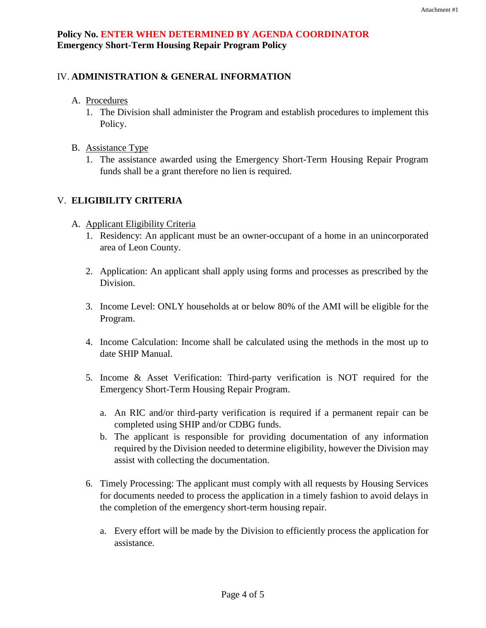# IV. **ADMINISTRATION & GENERAL INFORMATION**

- A. Procedures
	- 1. The Division shall administer the Program and establish procedures to implement this Policy.
- B. Assistance Type
	- 1. The assistance awarded using the Emergency Short-Term Housing Repair Program funds shall be a grant therefore no lien is required.

### V. **ELIGIBILITY CRITERIA**

- A. Applicant Eligibility Criteria
	- 1. Residency: An applicant must be an owner-occupant of a home in an unincorporated area of Leon County.
	- 2. Application: An applicant shall apply using forms and processes as prescribed by the Division.
	- 3. Income Level: ONLY households at or below 80% of the AMI will be eligible for the Program.
	- 4. Income Calculation: Income shall be calculated using the methods in the most up to date SHIP Manual.
	- 5. Income & Asset Verification: Third-party verification is NOT required for the Emergency Short-Term Housing Repair Program.
		- a. An RIC and/or third-party verification is required if a permanent repair can be completed using SHIP and/or CDBG funds.
		- b. The applicant is responsible for providing documentation of any information required by the Division needed to determine eligibility, however the Division may assist with collecting the documentation.
	- 6. Timely Processing: The applicant must comply with all requests by Housing Services for documents needed to process the application in a timely fashion to avoid delays in the completion of the emergency short-term housing repair.
		- a. Every effort will be made by the Division to efficiently process the application for assistance.